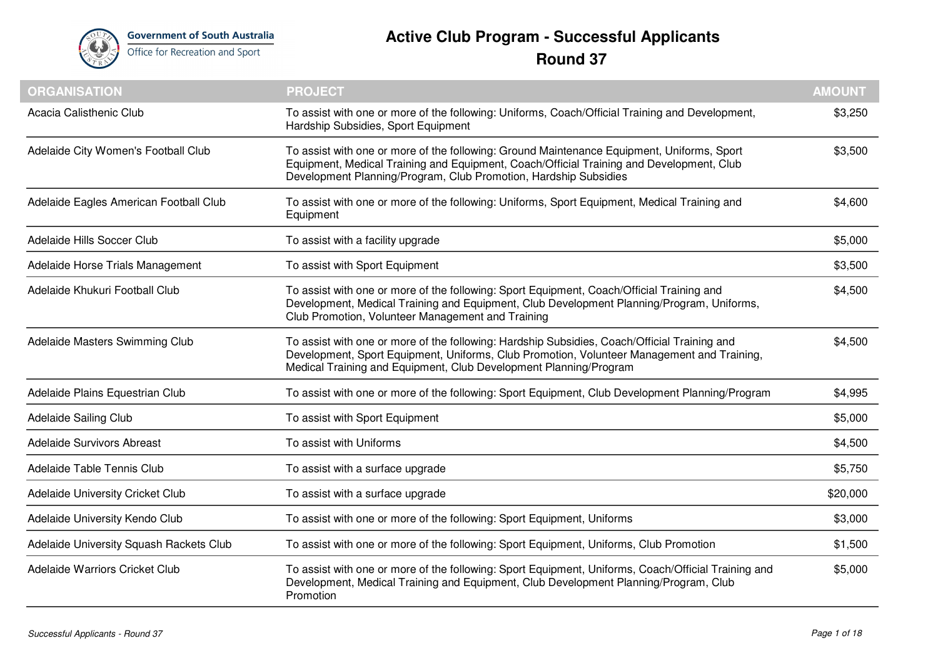

## **Active Club Program - Successful Applicants Round 37**

| <b>ORGANISATION</b>                     | <b>PROJECT</b>                                                                                                                                                                                                                                                  | <b>AMOUNT</b> |
|-----------------------------------------|-----------------------------------------------------------------------------------------------------------------------------------------------------------------------------------------------------------------------------------------------------------------|---------------|
| Acacia Calisthenic Club                 | To assist with one or more of the following: Uniforms, Coach/Official Training and Development,<br>Hardship Subsidies, Sport Equipment                                                                                                                          | \$3,250       |
| Adelaide City Women's Football Club     | To assist with one or more of the following: Ground Maintenance Equipment, Uniforms, Sport<br>Equipment, Medical Training and Equipment, Coach/Official Training and Development, Club<br>Development Planning/Program, Club Promotion, Hardship Subsidies      | \$3,500       |
| Adelaide Eagles American Football Club  | To assist with one or more of the following: Uniforms, Sport Equipment, Medical Training and<br>Equipment                                                                                                                                                       | \$4,600       |
| Adelaide Hills Soccer Club              | To assist with a facility upgrade                                                                                                                                                                                                                               | \$5,000       |
| Adelaide Horse Trials Management        | To assist with Sport Equipment                                                                                                                                                                                                                                  | \$3,500       |
| Adelaide Khukuri Football Club          | To assist with one or more of the following: Sport Equipment, Coach/Official Training and<br>Development, Medical Training and Equipment, Club Development Planning/Program, Uniforms,<br>Club Promotion, Volunteer Management and Training                     | \$4,500       |
| Adelaide Masters Swimming Club          | To assist with one or more of the following: Hardship Subsidies, Coach/Official Training and<br>Development, Sport Equipment, Uniforms, Club Promotion, Volunteer Management and Training,<br>Medical Training and Equipment, Club Development Planning/Program | \$4,500       |
| Adelaide Plains Equestrian Club         | To assist with one or more of the following: Sport Equipment, Club Development Planning/Program                                                                                                                                                                 | \$4,995       |
| Adelaide Sailing Club                   | To assist with Sport Equipment                                                                                                                                                                                                                                  | \$5,000       |
| Adelaide Survivors Abreast              | To assist with Uniforms                                                                                                                                                                                                                                         | \$4,500       |
| Adelaide Table Tennis Club              | To assist with a surface upgrade                                                                                                                                                                                                                                | \$5,750       |
| Adelaide University Cricket Club        | To assist with a surface upgrade                                                                                                                                                                                                                                | \$20,000      |
| Adelaide University Kendo Club          | To assist with one or more of the following: Sport Equipment, Uniforms                                                                                                                                                                                          | \$3,000       |
| Adelaide University Squash Rackets Club | To assist with one or more of the following: Sport Equipment, Uniforms, Club Promotion                                                                                                                                                                          | \$1,500       |
| Adelaide Warriors Cricket Club          | To assist with one or more of the following: Sport Equipment, Uniforms, Coach/Official Training and<br>Development, Medical Training and Equipment, Club Development Planning/Program, Club<br>Promotion                                                        | \$5,000       |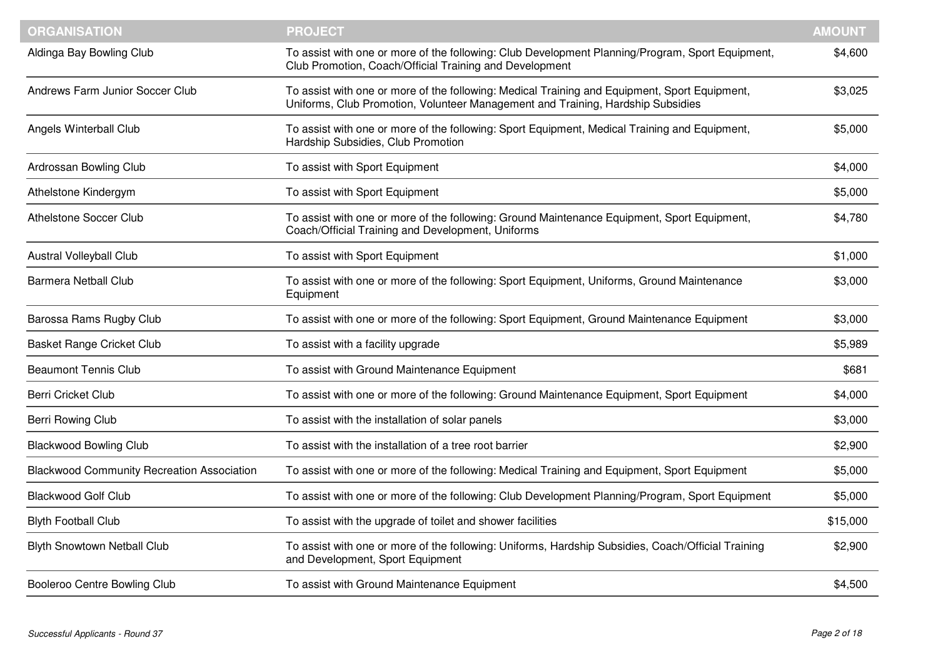| <b>ORGANISATION</b>                               | <b>PROJECT</b>                                                                                                                                                                   | <b>AMOUNT</b> |
|---------------------------------------------------|----------------------------------------------------------------------------------------------------------------------------------------------------------------------------------|---------------|
| Aldinga Bay Bowling Club                          | To assist with one or more of the following: Club Development Planning/Program, Sport Equipment,<br>Club Promotion, Coach/Official Training and Development                      | \$4,600       |
| <b>Andrews Farm Junior Soccer Club</b>            | To assist with one or more of the following: Medical Training and Equipment, Sport Equipment,<br>Uniforms, Club Promotion, Volunteer Management and Training, Hardship Subsidies | \$3,025       |
| Angels Winterball Club                            | To assist with one or more of the following: Sport Equipment, Medical Training and Equipment,<br>Hardship Subsidies, Club Promotion                                              | \$5,000       |
| Ardrossan Bowling Club                            | To assist with Sport Equipment                                                                                                                                                   | \$4,000       |
| Athelstone Kindergym                              | To assist with Sport Equipment                                                                                                                                                   | \$5,000       |
| <b>Athelstone Soccer Club</b>                     | To assist with one or more of the following: Ground Maintenance Equipment, Sport Equipment,<br>Coach/Official Training and Development, Uniforms                                 | \$4,780       |
| <b>Austral Volleyball Club</b>                    | To assist with Sport Equipment                                                                                                                                                   | \$1,000       |
| <b>Barmera Netball Club</b>                       | To assist with one or more of the following: Sport Equipment, Uniforms, Ground Maintenance<br>Equipment                                                                          | \$3,000       |
| Barossa Rams Rugby Club                           | To assist with one or more of the following: Sport Equipment, Ground Maintenance Equipment                                                                                       | \$3,000       |
| <b>Basket Range Cricket Club</b>                  | To assist with a facility upgrade                                                                                                                                                | \$5,989       |
| <b>Beaumont Tennis Club</b>                       | To assist with Ground Maintenance Equipment                                                                                                                                      | \$681         |
| <b>Berri Cricket Club</b>                         | To assist with one or more of the following: Ground Maintenance Equipment, Sport Equipment                                                                                       | \$4,000       |
| Berri Rowing Club                                 | To assist with the installation of solar panels                                                                                                                                  | \$3,000       |
| <b>Blackwood Bowling Club</b>                     | To assist with the installation of a tree root barrier                                                                                                                           | \$2,900       |
| <b>Blackwood Community Recreation Association</b> | To assist with one or more of the following: Medical Training and Equipment, Sport Equipment                                                                                     | \$5,000       |
| <b>Blackwood Golf Club</b>                        | To assist with one or more of the following: Club Development Planning/Program, Sport Equipment                                                                                  | \$5,000       |
| <b>Blyth Football Club</b>                        | To assist with the upgrade of toilet and shower facilities                                                                                                                       | \$15,000      |
| <b>Blyth Snowtown Netball Club</b>                | To assist with one or more of the following: Uniforms, Hardship Subsidies, Coach/Official Training<br>and Development, Sport Equipment                                           | \$2,900       |
| Booleroo Centre Bowling Club                      | To assist with Ground Maintenance Equipment                                                                                                                                      | \$4,500       |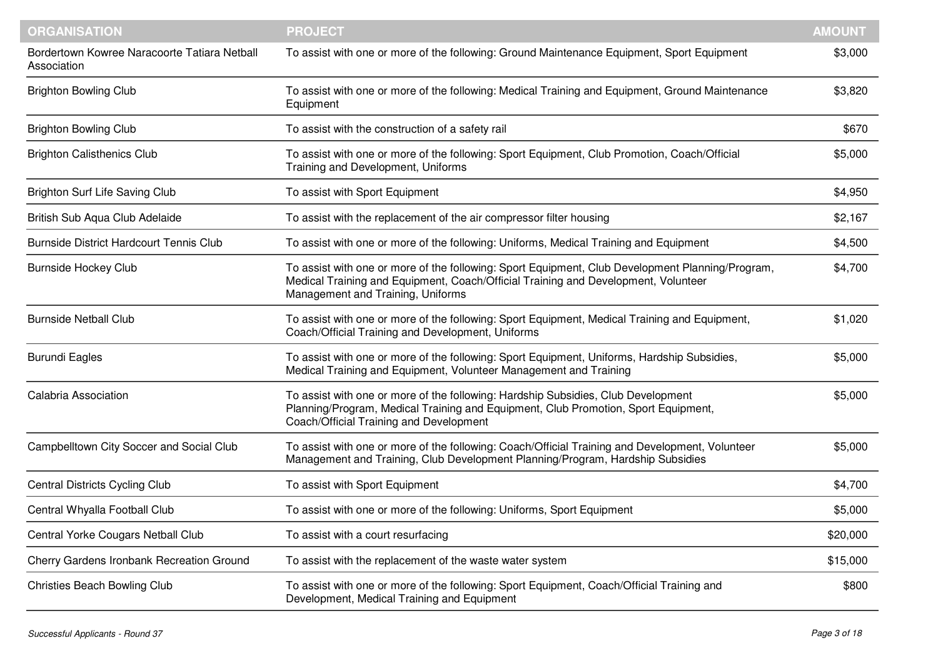| <b>ORGANISATION</b>                                         | <b>PROJECT</b>                                                                                                                                                                                                              | <b>AMOUNT</b> |
|-------------------------------------------------------------|-----------------------------------------------------------------------------------------------------------------------------------------------------------------------------------------------------------------------------|---------------|
| Bordertown Kowree Naracoorte Tatiara Netball<br>Association | To assist with one or more of the following: Ground Maintenance Equipment, Sport Equipment                                                                                                                                  | \$3,000       |
| <b>Brighton Bowling Club</b>                                | To assist with one or more of the following: Medical Training and Equipment, Ground Maintenance<br>Equipment                                                                                                                | \$3,820       |
| <b>Brighton Bowling Club</b>                                | To assist with the construction of a safety rail                                                                                                                                                                            | \$670         |
| <b>Brighton Calisthenics Club</b>                           | To assist with one or more of the following: Sport Equipment, Club Promotion, Coach/Official<br>Training and Development, Uniforms                                                                                          | \$5,000       |
| Brighton Surf Life Saving Club                              | To assist with Sport Equipment                                                                                                                                                                                              | \$4,950       |
| British Sub Aqua Club Adelaide                              | To assist with the replacement of the air compressor filter housing                                                                                                                                                         | \$2,167       |
| <b>Burnside District Hardcourt Tennis Club</b>              | To assist with one or more of the following: Uniforms, Medical Training and Equipment                                                                                                                                       | \$4,500       |
| <b>Burnside Hockey Club</b>                                 | To assist with one or more of the following: Sport Equipment, Club Development Planning/Program,<br>Medical Training and Equipment, Coach/Official Training and Development, Volunteer<br>Management and Training, Uniforms | \$4,700       |
| <b>Burnside Netball Club</b>                                | To assist with one or more of the following: Sport Equipment, Medical Training and Equipment,<br>Coach/Official Training and Development, Uniforms                                                                          | \$1,020       |
| <b>Burundi Eagles</b>                                       | To assist with one or more of the following: Sport Equipment, Uniforms, Hardship Subsidies,<br>Medical Training and Equipment, Volunteer Management and Training                                                            | \$5,000       |
| <b>Calabria Association</b>                                 | To assist with one or more of the following: Hardship Subsidies, Club Development<br>Planning/Program, Medical Training and Equipment, Club Promotion, Sport Equipment,<br>Coach/Official Training and Development          | \$5,000       |
| Campbelltown City Soccer and Social Club                    | To assist with one or more of the following: Coach/Official Training and Development, Volunteer<br>Management and Training, Club Development Planning/Program, Hardship Subsidies                                           | \$5,000       |
| <b>Central Districts Cycling Club</b>                       | To assist with Sport Equipment                                                                                                                                                                                              | \$4,700       |
| Central Whyalla Football Club                               | To assist with one or more of the following: Uniforms, Sport Equipment                                                                                                                                                      | \$5,000       |
| Central Yorke Cougars Netball Club                          | To assist with a court resurfacing                                                                                                                                                                                          | \$20,000      |
| Cherry Gardens Ironbank Recreation Ground                   | To assist with the replacement of the waste water system                                                                                                                                                                    | \$15,000      |
| <b>Christies Beach Bowling Club</b>                         | To assist with one or more of the following: Sport Equipment, Coach/Official Training and<br>Development, Medical Training and Equipment                                                                                    | \$800         |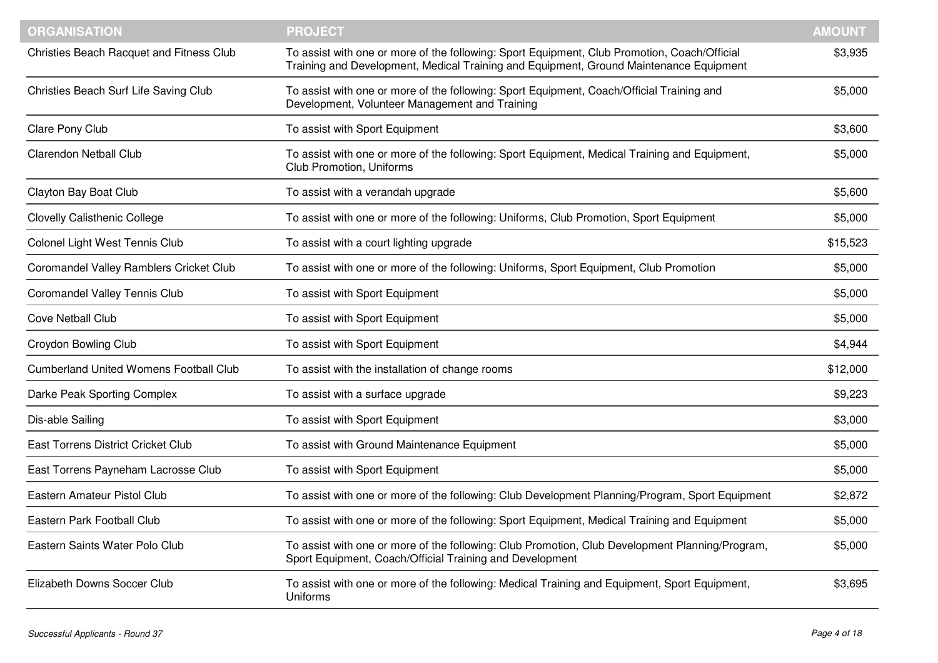| <b>ORGANISATION</b>                           | <b>PROJECT</b>                                                                                                                                                                         | <b>AMOUNT</b> |
|-----------------------------------------------|----------------------------------------------------------------------------------------------------------------------------------------------------------------------------------------|---------------|
| Christies Beach Racquet and Fitness Club      | To assist with one or more of the following: Sport Equipment, Club Promotion, Coach/Official<br>Training and Development, Medical Training and Equipment, Ground Maintenance Equipment | \$3,935       |
| Christies Beach Surf Life Saving Club         | To assist with one or more of the following: Sport Equipment, Coach/Official Training and<br>Development, Volunteer Management and Training                                            | \$5,000       |
| Clare Pony Club                               | To assist with Sport Equipment                                                                                                                                                         | \$3,600       |
| <b>Clarendon Netball Club</b>                 | To assist with one or more of the following: Sport Equipment, Medical Training and Equipment,<br><b>Club Promotion, Uniforms</b>                                                       | \$5,000       |
| Clayton Bay Boat Club                         | To assist with a verandah upgrade                                                                                                                                                      | \$5,600       |
| <b>Clovelly Calisthenic College</b>           | To assist with one or more of the following: Uniforms, Club Promotion, Sport Equipment                                                                                                 | \$5,000       |
| Colonel Light West Tennis Club                | To assist with a court lighting upgrade                                                                                                                                                | \$15,523      |
| Coromandel Valley Ramblers Cricket Club       | To assist with one or more of the following: Uniforms, Sport Equipment, Club Promotion                                                                                                 | \$5,000       |
| <b>Coromandel Valley Tennis Club</b>          | To assist with Sport Equipment                                                                                                                                                         | \$5,000       |
| <b>Cove Netball Club</b>                      | To assist with Sport Equipment                                                                                                                                                         | \$5,000       |
| <b>Croydon Bowling Club</b>                   | To assist with Sport Equipment                                                                                                                                                         | \$4,944       |
| <b>Cumberland United Womens Football Club</b> | To assist with the installation of change rooms                                                                                                                                        | \$12,000      |
| Darke Peak Sporting Complex                   | To assist with a surface upgrade                                                                                                                                                       | \$9,223       |
| Dis-able Sailing                              | To assist with Sport Equipment                                                                                                                                                         | \$3,000       |
| East Torrens District Cricket Club            | To assist with Ground Maintenance Equipment                                                                                                                                            | \$5,000       |
| East Torrens Payneham Lacrosse Club           | To assist with Sport Equipment                                                                                                                                                         | \$5,000       |
| Eastern Amateur Pistol Club                   | To assist with one or more of the following: Club Development Planning/Program, Sport Equipment                                                                                        | \$2,872       |
| Eastern Park Football Club                    | To assist with one or more of the following: Sport Equipment, Medical Training and Equipment                                                                                           | \$5,000       |
| Eastern Saints Water Polo Club                | To assist with one or more of the following: Club Promotion, Club Development Planning/Program,<br>Sport Equipment, Coach/Official Training and Development                            | \$5,000       |
| Elizabeth Downs Soccer Club                   | To assist with one or more of the following: Medical Training and Equipment, Sport Equipment,<br>Uniforms                                                                              | \$3,695       |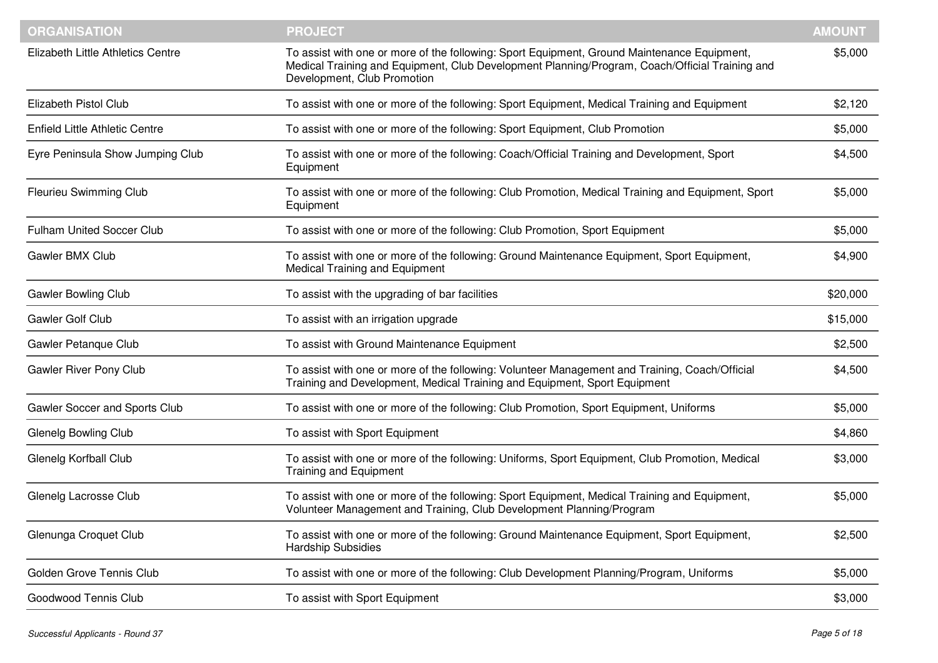| <b>ORGANISATION</b>                   | <b>PROJECT</b>                                                                                                                                                                                                               | <b>AMOUNT</b> |
|---------------------------------------|------------------------------------------------------------------------------------------------------------------------------------------------------------------------------------------------------------------------------|---------------|
| Elizabeth Little Athletics Centre     | To assist with one or more of the following: Sport Equipment, Ground Maintenance Equipment,<br>Medical Training and Equipment, Club Development Planning/Program, Coach/Official Training and<br>Development, Club Promotion | \$5,000       |
| Elizabeth Pistol Club                 | To assist with one or more of the following: Sport Equipment, Medical Training and Equipment                                                                                                                                 | \$2,120       |
| <b>Enfield Little Athletic Centre</b> | To assist with one or more of the following: Sport Equipment, Club Promotion                                                                                                                                                 | \$5,000       |
| Eyre Peninsula Show Jumping Club      | To assist with one or more of the following: Coach/Official Training and Development, Sport<br>Equipment                                                                                                                     | \$4,500       |
| <b>Fleurieu Swimming Club</b>         | To assist with one or more of the following: Club Promotion, Medical Training and Equipment, Sport<br>Equipment                                                                                                              | \$5,000       |
| <b>Fulham United Soccer Club</b>      | To assist with one or more of the following: Club Promotion, Sport Equipment                                                                                                                                                 | \$5,000       |
| Gawler BMX Club                       | To assist with one or more of the following: Ground Maintenance Equipment, Sport Equipment,<br>Medical Training and Equipment                                                                                                | \$4,900       |
| <b>Gawler Bowling Club</b>            | To assist with the upgrading of bar facilities                                                                                                                                                                               | \$20,000      |
| Gawler Golf Club                      | To assist with an irrigation upgrade                                                                                                                                                                                         | \$15,000      |
| Gawler Petanque Club                  | To assist with Ground Maintenance Equipment                                                                                                                                                                                  | \$2,500       |
| Gawler River Pony Club                | To assist with one or more of the following: Volunteer Management and Training, Coach/Official<br>Training and Development, Medical Training and Equipment, Sport Equipment                                                  | \$4,500       |
| Gawler Soccer and Sports Club         | To assist with one or more of the following: Club Promotion, Sport Equipment, Uniforms                                                                                                                                       | \$5,000       |
| <b>Glenelg Bowling Club</b>           | To assist with Sport Equipment                                                                                                                                                                                               | \$4,860       |
| Glenelg Korfball Club                 | To assist with one or more of the following: Uniforms, Sport Equipment, Club Promotion, Medical<br><b>Training and Equipment</b>                                                                                             | \$3,000       |
| Glenelg Lacrosse Club                 | To assist with one or more of the following: Sport Equipment, Medical Training and Equipment,<br>Volunteer Management and Training, Club Development Planning/Program                                                        | \$5,000       |
| Glenunga Croquet Club                 | To assist with one or more of the following: Ground Maintenance Equipment, Sport Equipment,<br>Hardship Subsidies                                                                                                            | \$2,500       |
| Golden Grove Tennis Club              | To assist with one or more of the following: Club Development Planning/Program, Uniforms                                                                                                                                     | \$5,000       |
| Goodwood Tennis Club                  | To assist with Sport Equipment                                                                                                                                                                                               | \$3,000       |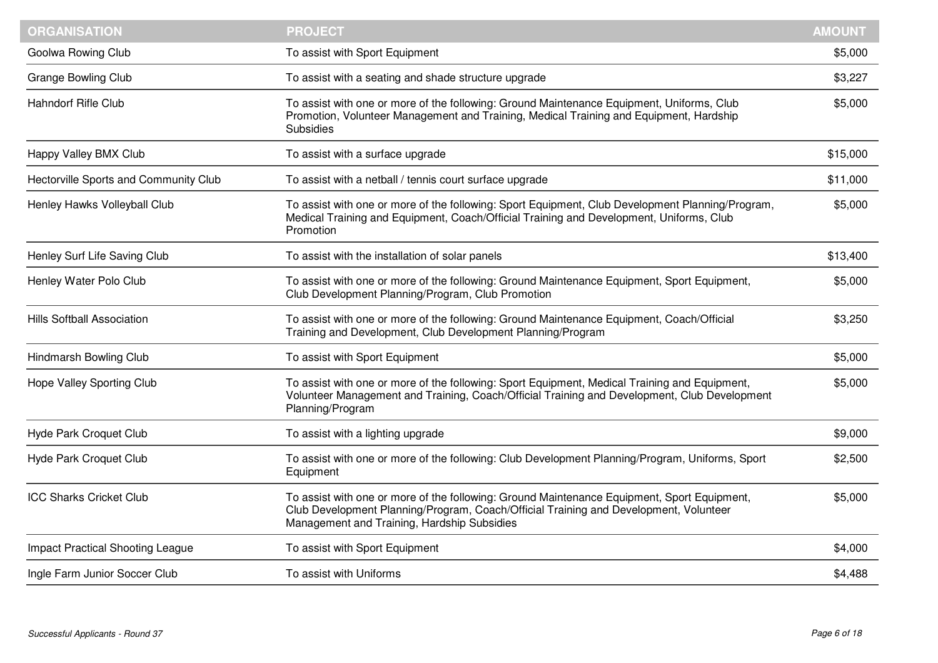| <b>ORGANISATION</b>                     | <b>PROJECT</b>                                                                                                                                                                                                                      | <b>AMOUNT</b> |
|-----------------------------------------|-------------------------------------------------------------------------------------------------------------------------------------------------------------------------------------------------------------------------------------|---------------|
| Goolwa Rowing Club                      | To assist with Sport Equipment                                                                                                                                                                                                      | \$5,000       |
| <b>Grange Bowling Club</b>              | To assist with a seating and shade structure upgrade                                                                                                                                                                                | \$3,227       |
| <b>Hahndorf Rifle Club</b>              | To assist with one or more of the following: Ground Maintenance Equipment, Uniforms, Club<br>Promotion, Volunteer Management and Training, Medical Training and Equipment, Hardship<br><b>Subsidies</b>                             | \$5,000       |
| Happy Valley BMX Club                   | To assist with a surface upgrade                                                                                                                                                                                                    | \$15,000      |
| Hectorville Sports and Community Club   | To assist with a netball / tennis court surface upgrade                                                                                                                                                                             | \$11,000      |
| Henley Hawks Volleyball Club            | To assist with one or more of the following: Sport Equipment, Club Development Planning/Program,<br>Medical Training and Equipment, Coach/Official Training and Development, Uniforms, Club<br>Promotion                            | \$5,000       |
| Henley Surf Life Saving Club            | To assist with the installation of solar panels                                                                                                                                                                                     | \$13,400      |
| Henley Water Polo Club                  | To assist with one or more of the following: Ground Maintenance Equipment, Sport Equipment,<br>Club Development Planning/Program, Club Promotion                                                                                    | \$5,000       |
| <b>Hills Softball Association</b>       | To assist with one or more of the following: Ground Maintenance Equipment, Coach/Official<br>Training and Development, Club Development Planning/Program                                                                            | \$3,250       |
| Hindmarsh Bowling Club                  | To assist with Sport Equipment                                                                                                                                                                                                      | \$5,000       |
| Hope Valley Sporting Club               | To assist with one or more of the following: Sport Equipment, Medical Training and Equipment,<br>Volunteer Management and Training, Coach/Official Training and Development, Club Development<br>Planning/Program                   | \$5,000       |
| Hyde Park Croquet Club                  | To assist with a lighting upgrade                                                                                                                                                                                                   | \$9,000       |
| Hyde Park Croquet Club                  | To assist with one or more of the following: Club Development Planning/Program, Uniforms, Sport<br>Equipment                                                                                                                        | \$2,500       |
| <b>ICC Sharks Cricket Club</b>          | To assist with one or more of the following: Ground Maintenance Equipment, Sport Equipment,<br>Club Development Planning/Program, Coach/Official Training and Development, Volunteer<br>Management and Training, Hardship Subsidies | \$5,000       |
| <b>Impact Practical Shooting League</b> | To assist with Sport Equipment                                                                                                                                                                                                      | \$4,000       |
| Ingle Farm Junior Soccer Club           | To assist with Uniforms                                                                                                                                                                                                             | \$4,488       |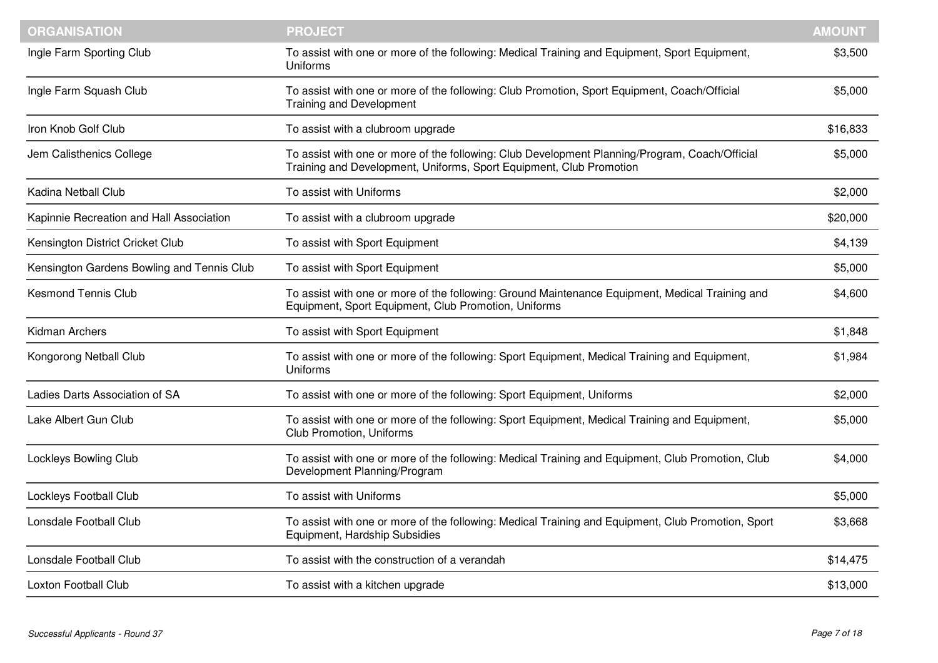| <b>ORGANISATION</b>                        | <b>PROJECT</b>                                                                                                                                                        | <b>AMOUNT</b> |
|--------------------------------------------|-----------------------------------------------------------------------------------------------------------------------------------------------------------------------|---------------|
| Ingle Farm Sporting Club                   | To assist with one or more of the following: Medical Training and Equipment, Sport Equipment,<br>Uniforms                                                             | \$3,500       |
| Ingle Farm Squash Club                     | To assist with one or more of the following: Club Promotion, Sport Equipment, Coach/Official<br><b>Training and Development</b>                                       | \$5,000       |
| Iron Knob Golf Club                        | To assist with a clubroom upgrade                                                                                                                                     | \$16,833      |
| Jem Calisthenics College                   | To assist with one or more of the following: Club Development Planning/Program, Coach/Official<br>Training and Development, Uniforms, Sport Equipment, Club Promotion | \$5,000       |
| Kadina Netball Club                        | To assist with Uniforms                                                                                                                                               | \$2,000       |
| Kapinnie Recreation and Hall Association   | To assist with a clubroom upgrade                                                                                                                                     | \$20,000      |
| Kensington District Cricket Club           | To assist with Sport Equipment                                                                                                                                        | \$4,139       |
| Kensington Gardens Bowling and Tennis Club | To assist with Sport Equipment                                                                                                                                        | \$5,000       |
| <b>Kesmond Tennis Club</b>                 | To assist with one or more of the following: Ground Maintenance Equipment, Medical Training and<br>Equipment, Sport Equipment, Club Promotion, Uniforms               | \$4,600       |
| Kidman Archers                             | To assist with Sport Equipment                                                                                                                                        | \$1,848       |
| Kongorong Netball Club                     | To assist with one or more of the following: Sport Equipment, Medical Training and Equipment,<br>Uniforms                                                             | \$1,984       |
| Ladies Darts Association of SA             | To assist with one or more of the following: Sport Equipment, Uniforms                                                                                                | \$2,000       |
| Lake Albert Gun Club                       | To assist with one or more of the following: Sport Equipment, Medical Training and Equipment,<br><b>Club Promotion, Uniforms</b>                                      | \$5,000       |
| Lockleys Bowling Club                      | To assist with one or more of the following: Medical Training and Equipment, Club Promotion, Club<br>Development Planning/Program                                     | \$4,000       |
| Lockleys Football Club                     | To assist with Uniforms                                                                                                                                               | \$5,000       |
| Lonsdale Football Club                     | To assist with one or more of the following: Medical Training and Equipment, Club Promotion, Sport<br>Equipment, Hardship Subsidies                                   | \$3,668       |
| Lonsdale Football Club                     | To assist with the construction of a verandah                                                                                                                         | \$14,475      |
| Loxton Football Club                       | To assist with a kitchen upgrade                                                                                                                                      | \$13,000      |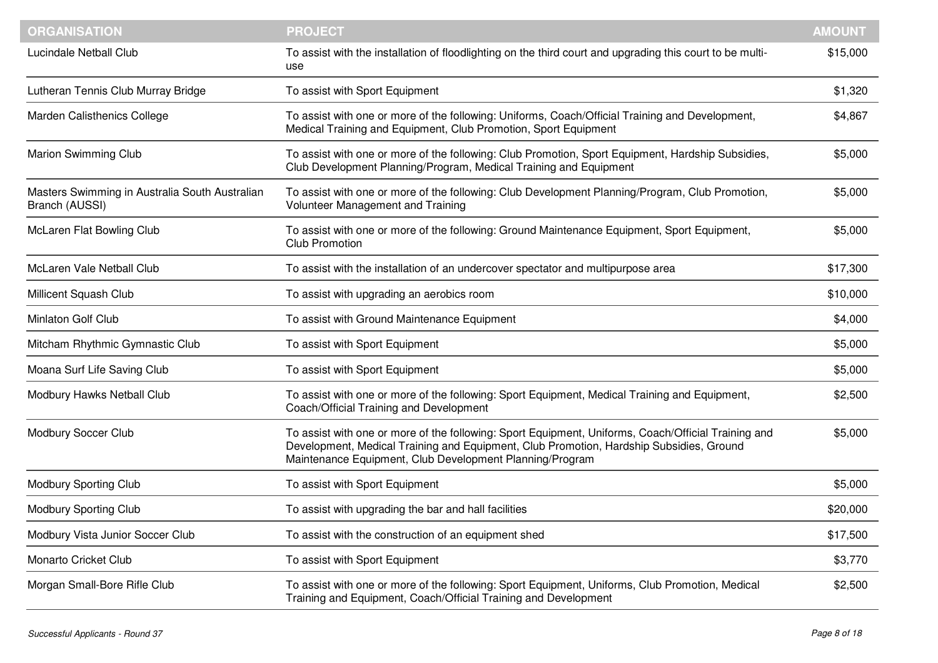| <b>ORGANISATION</b>                                              | <b>PROJECT</b>                                                                                                                                                                                                                                             | <b>AMOUNT</b> |
|------------------------------------------------------------------|------------------------------------------------------------------------------------------------------------------------------------------------------------------------------------------------------------------------------------------------------------|---------------|
| Lucindale Netball Club                                           | To assist with the installation of floodlighting on the third court and upgrading this court to be multi-<br>use                                                                                                                                           | \$15,000      |
| Lutheran Tennis Club Murray Bridge                               | To assist with Sport Equipment                                                                                                                                                                                                                             | \$1,320       |
| Marden Calisthenics College                                      | To assist with one or more of the following: Uniforms, Coach/Official Training and Development,<br>Medical Training and Equipment, Club Promotion, Sport Equipment                                                                                         | \$4,867       |
| <b>Marion Swimming Club</b>                                      | To assist with one or more of the following: Club Promotion, Sport Equipment, Hardship Subsidies,<br>Club Development Planning/Program, Medical Training and Equipment                                                                                     | \$5,000       |
| Masters Swimming in Australia South Australian<br>Branch (AUSSI) | To assist with one or more of the following: Club Development Planning/Program, Club Promotion,<br>Volunteer Management and Training                                                                                                                       | \$5,000       |
| McLaren Flat Bowling Club                                        | To assist with one or more of the following: Ground Maintenance Equipment, Sport Equipment,<br><b>Club Promotion</b>                                                                                                                                       | \$5,000       |
| McLaren Vale Netball Club                                        | To assist with the installation of an undercover spectator and multipurpose area                                                                                                                                                                           | \$17,300      |
| Millicent Squash Club                                            | To assist with upgrading an aerobics room                                                                                                                                                                                                                  | \$10,000      |
| Minlaton Golf Club                                               | To assist with Ground Maintenance Equipment                                                                                                                                                                                                                | \$4,000       |
| Mitcham Rhythmic Gymnastic Club                                  | To assist with Sport Equipment                                                                                                                                                                                                                             | \$5,000       |
| Moana Surf Life Saving Club                                      | To assist with Sport Equipment                                                                                                                                                                                                                             | \$5,000       |
| Modbury Hawks Netball Club                                       | To assist with one or more of the following: Sport Equipment, Medical Training and Equipment,<br>Coach/Official Training and Development                                                                                                                   | \$2,500       |
| Modbury Soccer Club                                              | To assist with one or more of the following: Sport Equipment, Uniforms, Coach/Official Training and<br>Development, Medical Training and Equipment, Club Promotion, Hardship Subsidies, Ground<br>Maintenance Equipment, Club Development Planning/Program | \$5,000       |
| <b>Modbury Sporting Club</b>                                     | To assist with Sport Equipment                                                                                                                                                                                                                             | \$5,000       |
| <b>Modbury Sporting Club</b>                                     | To assist with upgrading the bar and hall facilities                                                                                                                                                                                                       | \$20,000      |
| Modbury Vista Junior Soccer Club                                 | To assist with the construction of an equipment shed                                                                                                                                                                                                       | \$17,500      |
| Monarto Cricket Club                                             | To assist with Sport Equipment                                                                                                                                                                                                                             | \$3,770       |
| Morgan Small-Bore Rifle Club                                     | To assist with one or more of the following: Sport Equipment, Uniforms, Club Promotion, Medical<br>Training and Equipment, Coach/Official Training and Development                                                                                         | \$2,500       |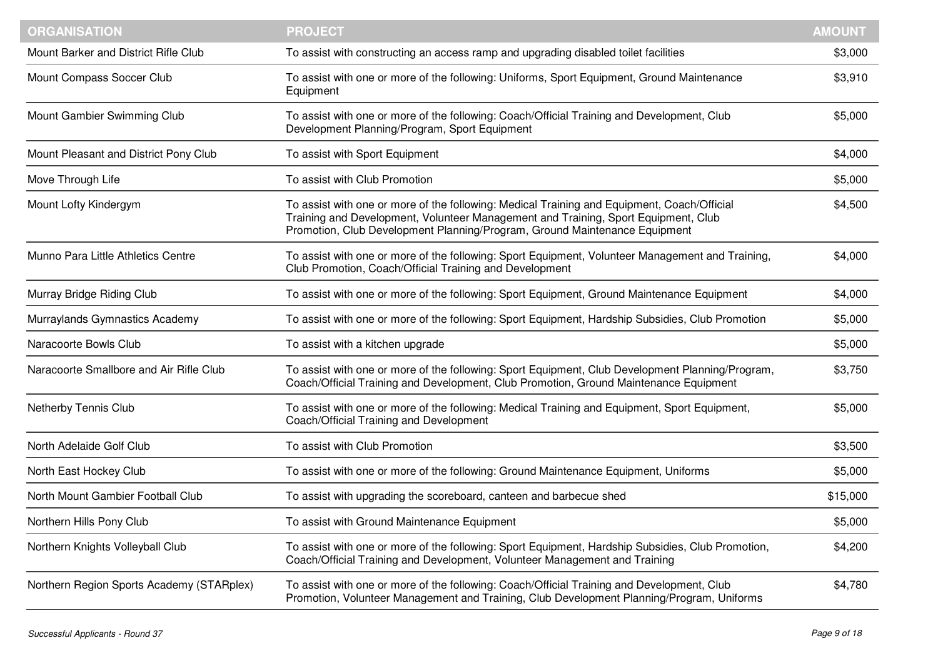| <b>ORGANISATION</b>                       | <b>PROJECT</b>                                                                                                                                                                                                                                                  | <b>AMOUNT</b> |
|-------------------------------------------|-----------------------------------------------------------------------------------------------------------------------------------------------------------------------------------------------------------------------------------------------------------------|---------------|
| Mount Barker and District Rifle Club      | To assist with constructing an access ramp and upgrading disabled toilet facilities                                                                                                                                                                             | \$3,000       |
| Mount Compass Soccer Club                 | To assist with one or more of the following: Uniforms, Sport Equipment, Ground Maintenance<br>Equipment                                                                                                                                                         | \$3,910       |
| Mount Gambier Swimming Club               | To assist with one or more of the following: Coach/Official Training and Development, Club<br>Development Planning/Program, Sport Equipment                                                                                                                     | \$5,000       |
| Mount Pleasant and District Pony Club     | To assist with Sport Equipment                                                                                                                                                                                                                                  | \$4,000       |
| Move Through Life                         | To assist with Club Promotion                                                                                                                                                                                                                                   | \$5,000       |
| Mount Lofty Kindergym                     | To assist with one or more of the following: Medical Training and Equipment, Coach/Official<br>Training and Development, Volunteer Management and Training, Sport Equipment, Club<br>Promotion, Club Development Planning/Program, Ground Maintenance Equipment | \$4,500       |
| Munno Para Little Athletics Centre        | To assist with one or more of the following: Sport Equipment, Volunteer Management and Training,<br>Club Promotion, Coach/Official Training and Development                                                                                                     | \$4,000       |
| Murray Bridge Riding Club                 | To assist with one or more of the following: Sport Equipment, Ground Maintenance Equipment                                                                                                                                                                      | \$4,000       |
| Murraylands Gymnastics Academy            | To assist with one or more of the following: Sport Equipment, Hardship Subsidies, Club Promotion                                                                                                                                                                | \$5,000       |
| Naracoorte Bowls Club                     | To assist with a kitchen upgrade                                                                                                                                                                                                                                | \$5,000       |
| Naracoorte Smallbore and Air Rifle Club   | To assist with one or more of the following: Sport Equipment, Club Development Planning/Program,<br>Coach/Official Training and Development, Club Promotion, Ground Maintenance Equipment                                                                       | \$3,750       |
| Netherby Tennis Club                      | To assist with one or more of the following: Medical Training and Equipment, Sport Equipment,<br>Coach/Official Training and Development                                                                                                                        | \$5,000       |
| North Adelaide Golf Club                  | To assist with Club Promotion                                                                                                                                                                                                                                   | \$3,500       |
| North East Hockey Club                    | To assist with one or more of the following: Ground Maintenance Equipment, Uniforms                                                                                                                                                                             | \$5,000       |
| North Mount Gambier Football Club         | To assist with upgrading the scoreboard, canteen and barbecue shed                                                                                                                                                                                              | \$15,000      |
| Northern Hills Pony Club                  | To assist with Ground Maintenance Equipment                                                                                                                                                                                                                     | \$5,000       |
| Northern Knights Volleyball Club          | To assist with one or more of the following: Sport Equipment, Hardship Subsidies, Club Promotion,<br>Coach/Official Training and Development, Volunteer Management and Training                                                                                 | \$4,200       |
| Northern Region Sports Academy (STARplex) | To assist with one or more of the following: Coach/Official Training and Development, Club<br>Promotion, Volunteer Management and Training, Club Development Planning/Program, Uniforms                                                                         | \$4,780       |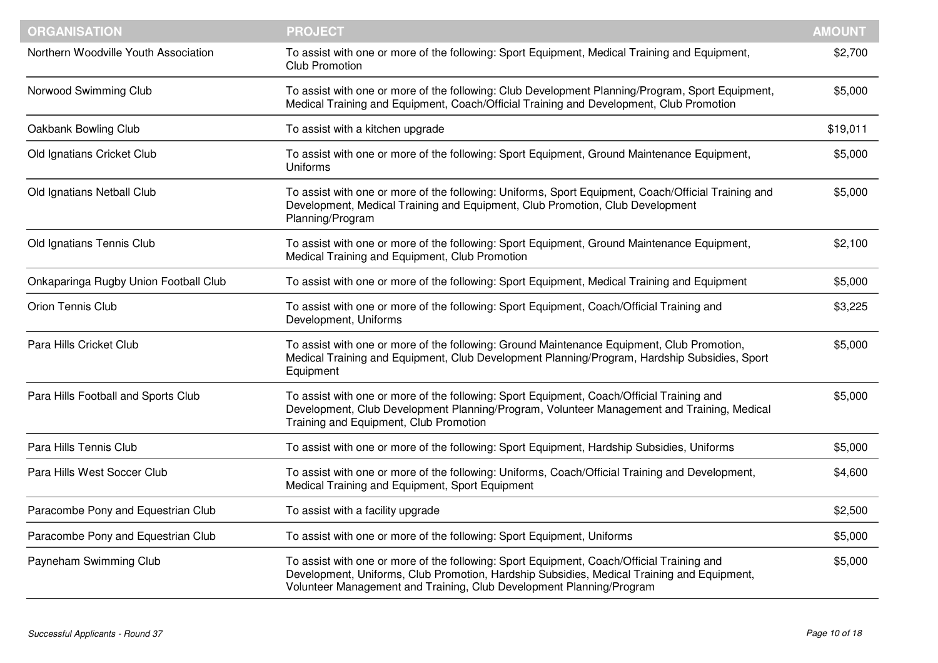| <b>ORGANISATION</b>                   | <b>PROJECT</b>                                                                                                                                                                                                                                                  | <b>AMOUNT</b> |
|---------------------------------------|-----------------------------------------------------------------------------------------------------------------------------------------------------------------------------------------------------------------------------------------------------------------|---------------|
| Northern Woodville Youth Association  | To assist with one or more of the following: Sport Equipment, Medical Training and Equipment,<br><b>Club Promotion</b>                                                                                                                                          | \$2,700       |
| Norwood Swimming Club                 | To assist with one or more of the following: Club Development Planning/Program, Sport Equipment,<br>Medical Training and Equipment, Coach/Official Training and Development, Club Promotion                                                                     | \$5,000       |
| Oakbank Bowling Club                  | To assist with a kitchen upgrade                                                                                                                                                                                                                                | \$19,011      |
| Old Ignatians Cricket Club            | To assist with one or more of the following: Sport Equipment, Ground Maintenance Equipment,<br><b>Uniforms</b>                                                                                                                                                  | \$5,000       |
| Old Ignatians Netball Club            | To assist with one or more of the following: Uniforms, Sport Equipment, Coach/Official Training and<br>Development, Medical Training and Equipment, Club Promotion, Club Development<br>Planning/Program                                                        | \$5,000       |
| Old Ignatians Tennis Club             | To assist with one or more of the following: Sport Equipment, Ground Maintenance Equipment,<br>Medical Training and Equipment, Club Promotion                                                                                                                   | \$2,100       |
| Onkaparinga Rugby Union Football Club | To assist with one or more of the following: Sport Equipment, Medical Training and Equipment                                                                                                                                                                    | \$5,000       |
| Orion Tennis Club                     | To assist with one or more of the following: Sport Equipment, Coach/Official Training and<br>Development, Uniforms                                                                                                                                              | \$3,225       |
| Para Hills Cricket Club               | To assist with one or more of the following: Ground Maintenance Equipment, Club Promotion,<br>Medical Training and Equipment, Club Development Planning/Program, Hardship Subsidies, Sport<br>Equipment                                                         | \$5,000       |
| Para Hills Football and Sports Club   | To assist with one or more of the following: Sport Equipment, Coach/Official Training and<br>Development, Club Development Planning/Program, Volunteer Management and Training, Medical<br>Training and Equipment, Club Promotion                               | \$5,000       |
| Para Hills Tennis Club                | To assist with one or more of the following: Sport Equipment, Hardship Subsidies, Uniforms                                                                                                                                                                      | \$5,000       |
| Para Hills West Soccer Club           | To assist with one or more of the following: Uniforms, Coach/Official Training and Development,<br>Medical Training and Equipment, Sport Equipment                                                                                                              | \$4,600       |
| Paracombe Pony and Equestrian Club    | To assist with a facility upgrade                                                                                                                                                                                                                               | \$2,500       |
| Paracombe Pony and Equestrian Club    | To assist with one or more of the following: Sport Equipment, Uniforms                                                                                                                                                                                          | \$5,000       |
| Payneham Swimming Club                | To assist with one or more of the following: Sport Equipment, Coach/Official Training and<br>Development, Uniforms, Club Promotion, Hardship Subsidies, Medical Training and Equipment,<br>Volunteer Management and Training, Club Development Planning/Program | \$5,000       |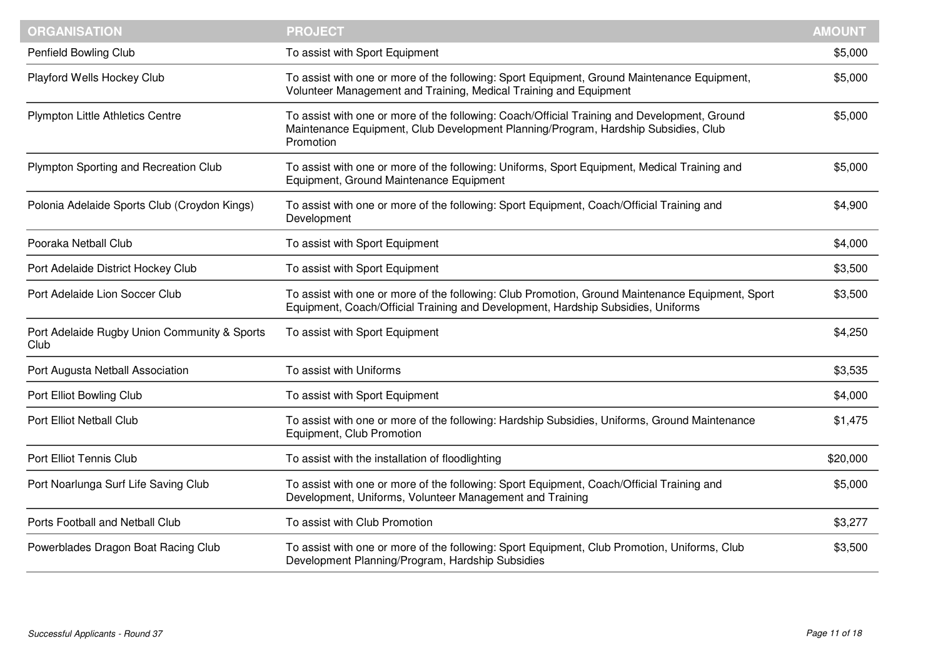| <b>ORGANISATION</b>                                  | <b>PROJECT</b>                                                                                                                                                                                  | <b>AMOUNT</b> |
|------------------------------------------------------|-------------------------------------------------------------------------------------------------------------------------------------------------------------------------------------------------|---------------|
| Penfield Bowling Club                                | To assist with Sport Equipment                                                                                                                                                                  | \$5,000       |
| Playford Wells Hockey Club                           | To assist with one or more of the following: Sport Equipment, Ground Maintenance Equipment,<br>Volunteer Management and Training, Medical Training and Equipment                                | \$5,000       |
| <b>Plympton Little Athletics Centre</b>              | To assist with one or more of the following: Coach/Official Training and Development, Ground<br>Maintenance Equipment, Club Development Planning/Program, Hardship Subsidies, Club<br>Promotion | \$5,000       |
| Plympton Sporting and Recreation Club                | To assist with one or more of the following: Uniforms, Sport Equipment, Medical Training and<br>Equipment, Ground Maintenance Equipment                                                         | \$5,000       |
| Polonia Adelaide Sports Club (Croydon Kings)         | To assist with one or more of the following: Sport Equipment, Coach/Official Training and<br>Development                                                                                        | \$4,900       |
| Pooraka Netball Club                                 | To assist with Sport Equipment                                                                                                                                                                  | \$4,000       |
| Port Adelaide District Hockey Club                   | To assist with Sport Equipment                                                                                                                                                                  | \$3,500       |
| Port Adelaide Lion Soccer Club                       | To assist with one or more of the following: Club Promotion, Ground Maintenance Equipment, Sport<br>Equipment, Coach/Official Training and Development, Hardship Subsidies, Uniforms            | \$3,500       |
| Port Adelaide Rugby Union Community & Sports<br>Club | To assist with Sport Equipment                                                                                                                                                                  | \$4,250       |
| Port Augusta Netball Association                     | To assist with Uniforms                                                                                                                                                                         | \$3,535       |
| Port Elliot Bowling Club                             | To assist with Sport Equipment                                                                                                                                                                  | \$4,000       |
| Port Elliot Netball Club                             | To assist with one or more of the following: Hardship Subsidies, Uniforms, Ground Maintenance<br>Equipment, Club Promotion                                                                      | \$1,475       |
| Port Elliot Tennis Club                              | To assist with the installation of floodlighting                                                                                                                                                | \$20,000      |
| Port Noarlunga Surf Life Saving Club                 | To assist with one or more of the following: Sport Equipment, Coach/Official Training and<br>Development, Uniforms, Volunteer Management and Training                                           | \$5,000       |
| Ports Football and Netball Club                      | To assist with Club Promotion                                                                                                                                                                   | \$3,277       |
| Powerblades Dragon Boat Racing Club                  | To assist with one or more of the following: Sport Equipment, Club Promotion, Uniforms, Club<br>Development Planning/Program, Hardship Subsidies                                                | \$3,500       |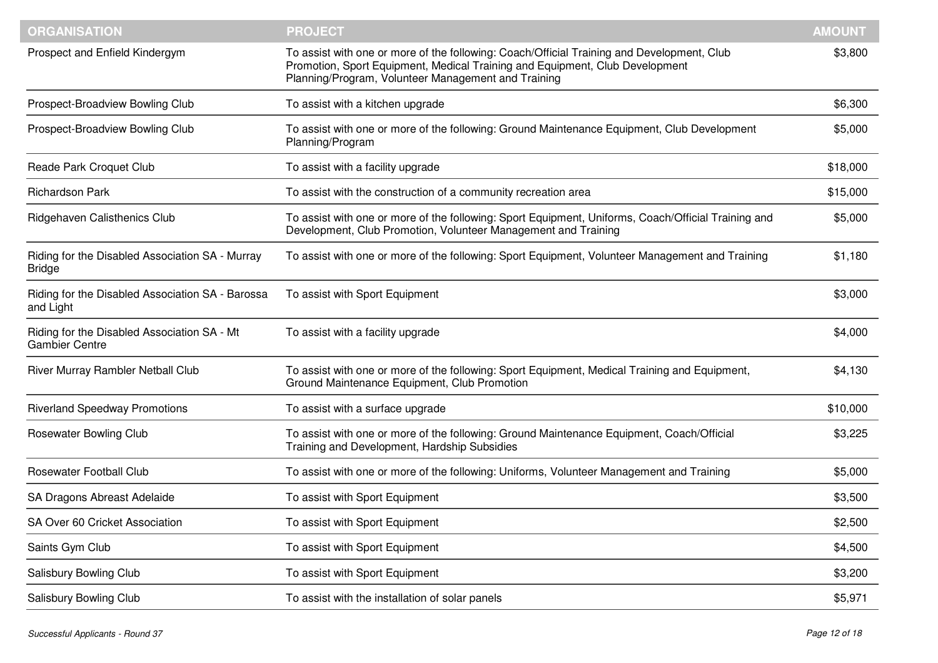| <b>ORGANISATION</b>                                                  | <b>PROJECT</b>                                                                                                                                                                                                                    | <b>AMOUNT</b> |
|----------------------------------------------------------------------|-----------------------------------------------------------------------------------------------------------------------------------------------------------------------------------------------------------------------------------|---------------|
| Prospect and Enfield Kindergym                                       | To assist with one or more of the following: Coach/Official Training and Development, Club<br>Promotion, Sport Equipment, Medical Training and Equipment, Club Development<br>Planning/Program, Volunteer Management and Training | \$3,800       |
| Prospect-Broadview Bowling Club                                      | To assist with a kitchen upgrade                                                                                                                                                                                                  | \$6,300       |
| Prospect-Broadview Bowling Club                                      | To assist with one or more of the following: Ground Maintenance Equipment, Club Development<br>Planning/Program                                                                                                                   | \$5,000       |
| Reade Park Croquet Club                                              | To assist with a facility upgrade                                                                                                                                                                                                 | \$18,000      |
| <b>Richardson Park</b>                                               | To assist with the construction of a community recreation area                                                                                                                                                                    | \$15,000      |
| Ridgehaven Calisthenics Club                                         | To assist with one or more of the following: Sport Equipment, Uniforms, Coach/Official Training and<br>Development, Club Promotion, Volunteer Management and Training                                                             | \$5,000       |
| Riding for the Disabled Association SA - Murray<br><b>Bridge</b>     | To assist with one or more of the following: Sport Equipment, Volunteer Management and Training                                                                                                                                   | \$1,180       |
| Riding for the Disabled Association SA - Barossa<br>and Light        | To assist with Sport Equipment                                                                                                                                                                                                    | \$3,000       |
| Riding for the Disabled Association SA - Mt<br><b>Gambier Centre</b> | To assist with a facility upgrade                                                                                                                                                                                                 | \$4,000       |
| River Murray Rambler Netball Club                                    | To assist with one or more of the following: Sport Equipment, Medical Training and Equipment,<br>Ground Maintenance Equipment, Club Promotion                                                                                     | \$4,130       |
| <b>Riverland Speedway Promotions</b>                                 | To assist with a surface upgrade                                                                                                                                                                                                  | \$10,000      |
| <b>Rosewater Bowling Club</b>                                        | To assist with one or more of the following: Ground Maintenance Equipment, Coach/Official<br>Training and Development, Hardship Subsidies                                                                                         | \$3,225       |
| <b>Rosewater Football Club</b>                                       | To assist with one or more of the following: Uniforms, Volunteer Management and Training                                                                                                                                          | \$5,000       |
| SA Dragons Abreast Adelaide                                          | To assist with Sport Equipment                                                                                                                                                                                                    | \$3,500       |
| SA Over 60 Cricket Association                                       | To assist with Sport Equipment                                                                                                                                                                                                    | \$2,500       |
| Saints Gym Club                                                      | To assist with Sport Equipment                                                                                                                                                                                                    | \$4,500       |
| Salisbury Bowling Club                                               | To assist with Sport Equipment                                                                                                                                                                                                    | \$3,200       |
| Salisbury Bowling Club                                               | To assist with the installation of solar panels                                                                                                                                                                                   | \$5,971       |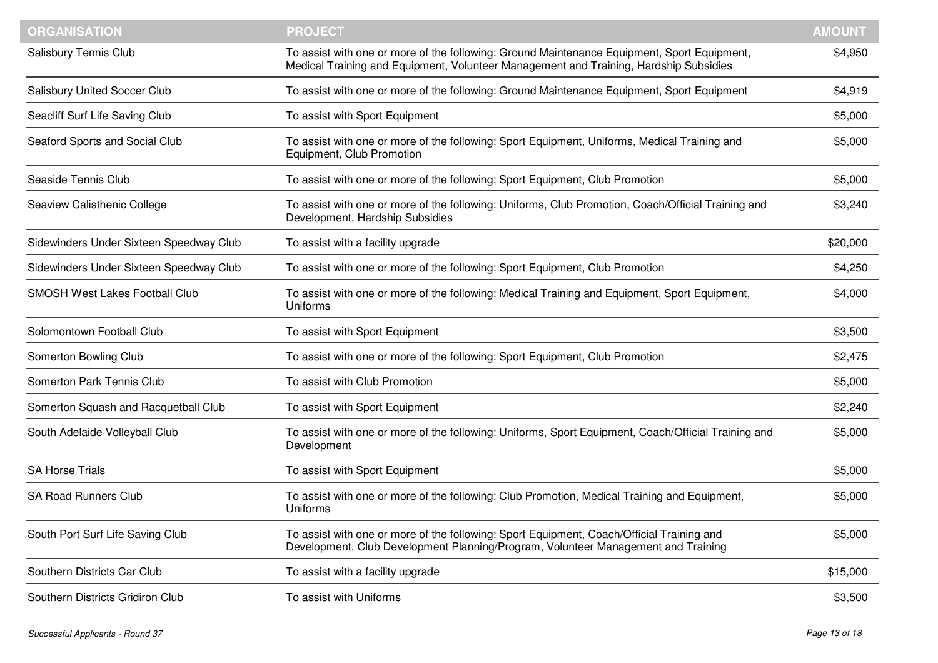| <b>ORGANISATION</b>                     | <b>PROJECT</b>                                                                                                                                                                       | <b>AMOUNT</b> |
|-----------------------------------------|--------------------------------------------------------------------------------------------------------------------------------------------------------------------------------------|---------------|
| Salisbury Tennis Club                   | To assist with one or more of the following: Ground Maintenance Equipment, Sport Equipment,<br>Medical Training and Equipment, Volunteer Management and Training, Hardship Subsidies | \$4,950       |
| <b>Salisbury United Soccer Club</b>     | To assist with one or more of the following: Ground Maintenance Equipment, Sport Equipment                                                                                           | \$4,919       |
| Seacliff Surf Life Saving Club          | To assist with Sport Equipment                                                                                                                                                       | \$5,000       |
| Seaford Sports and Social Club          | To assist with one or more of the following: Sport Equipment, Uniforms, Medical Training and<br>Equipment, Club Promotion                                                            | \$5,000       |
| Seaside Tennis Club                     | To assist with one or more of the following: Sport Equipment, Club Promotion                                                                                                         | \$5,000       |
| Seaview Calisthenic College             | To assist with one or more of the following: Uniforms, Club Promotion, Coach/Official Training and<br>Development, Hardship Subsidies                                                | \$3,240       |
| Sidewinders Under Sixteen Speedway Club | To assist with a facility upgrade                                                                                                                                                    | \$20,000      |
| Sidewinders Under Sixteen Speedway Club | To assist with one or more of the following: Sport Equipment, Club Promotion                                                                                                         | \$4,250       |
| <b>SMOSH West Lakes Football Club</b>   | To assist with one or more of the following: Medical Training and Equipment, Sport Equipment,<br><b>Uniforms</b>                                                                     | \$4,000       |
| Solomontown Football Club               | To assist with Sport Equipment                                                                                                                                                       | \$3,500       |
| Somerton Bowling Club                   | To assist with one or more of the following: Sport Equipment, Club Promotion                                                                                                         | \$2,475       |
| Somerton Park Tennis Club               | To assist with Club Promotion                                                                                                                                                        | \$5,000       |
| Somerton Squash and Racquetball Club    | To assist with Sport Equipment                                                                                                                                                       | \$2,240       |
| South Adelaide Volleyball Club          | To assist with one or more of the following: Uniforms, Sport Equipment, Coach/Official Training and<br>Development                                                                   | \$5,000       |
| <b>SA Horse Trials</b>                  | To assist with Sport Equipment                                                                                                                                                       | \$5,000       |
| <b>SA Road Runners Club</b>             | To assist with one or more of the following: Club Promotion, Medical Training and Equipment,<br>Uniforms                                                                             | \$5,000       |
| South Port Surf Life Saving Club        | To assist with one or more of the following: Sport Equipment, Coach/Official Training and<br>Development, Club Development Planning/Program, Volunteer Management and Training       | \$5,000       |
| Southern Districts Car Club             | To assist with a facility upgrade                                                                                                                                                    | \$15,000      |
| Southern Districts Gridiron Club        | To assist with Uniforms                                                                                                                                                              | \$3,500       |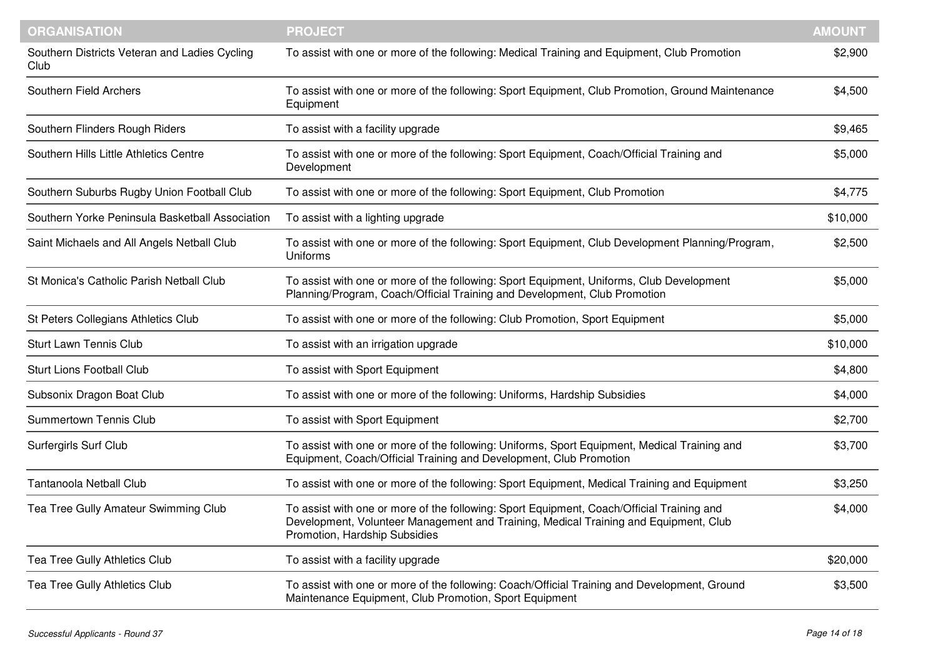| <b>ORGANISATION</b>                                   | <b>PROJECT</b>                                                                                                                                                                                                     | <b>AMOUNT</b> |
|-------------------------------------------------------|--------------------------------------------------------------------------------------------------------------------------------------------------------------------------------------------------------------------|---------------|
| Southern Districts Veteran and Ladies Cycling<br>Club | To assist with one or more of the following: Medical Training and Equipment, Club Promotion                                                                                                                        | \$2,900       |
| Southern Field Archers                                | To assist with one or more of the following: Sport Equipment, Club Promotion, Ground Maintenance<br>Equipment                                                                                                      | \$4,500       |
| Southern Flinders Rough Riders                        | To assist with a facility upgrade                                                                                                                                                                                  | \$9,465       |
| Southern Hills Little Athletics Centre                | To assist with one or more of the following: Sport Equipment, Coach/Official Training and<br>Development                                                                                                           | \$5,000       |
| Southern Suburbs Rugby Union Football Club            | To assist with one or more of the following: Sport Equipment, Club Promotion                                                                                                                                       | \$4,775       |
| Southern Yorke Peninsula Basketball Association       | To assist with a lighting upgrade                                                                                                                                                                                  | \$10,000      |
| Saint Michaels and All Angels Netball Club            | To assist with one or more of the following: Sport Equipment, Club Development Planning/Program,<br>Uniforms                                                                                                       | \$2,500       |
| St Monica's Catholic Parish Netball Club              | To assist with one or more of the following: Sport Equipment, Uniforms, Club Development<br>Planning/Program, Coach/Official Training and Development, Club Promotion                                              | \$5,000       |
| St Peters Collegians Athletics Club                   | To assist with one or more of the following: Club Promotion, Sport Equipment                                                                                                                                       | \$5,000       |
| <b>Sturt Lawn Tennis Club</b>                         | To assist with an irrigation upgrade                                                                                                                                                                               | \$10,000      |
| <b>Sturt Lions Football Club</b>                      | To assist with Sport Equipment                                                                                                                                                                                     | \$4,800       |
| Subsonix Dragon Boat Club                             | To assist with one or more of the following: Uniforms, Hardship Subsidies                                                                                                                                          | \$4,000       |
| <b>Summertown Tennis Club</b>                         | To assist with Sport Equipment                                                                                                                                                                                     | \$2,700       |
| <b>Surfergirls Surf Club</b>                          | To assist with one or more of the following: Uniforms, Sport Equipment, Medical Training and<br>Equipment, Coach/Official Training and Development, Club Promotion                                                 | \$3,700       |
| <b>Tantanoola Netball Club</b>                        | To assist with one or more of the following: Sport Equipment, Medical Training and Equipment                                                                                                                       | \$3,250       |
| Tea Tree Gully Amateur Swimming Club                  | To assist with one or more of the following: Sport Equipment, Coach/Official Training and<br>Development, Volunteer Management and Training, Medical Training and Equipment, Club<br>Promotion, Hardship Subsidies | \$4,000       |
| Tea Tree Gully Athletics Club                         | To assist with a facility upgrade                                                                                                                                                                                  | \$20,000      |
| Tea Tree Gully Athletics Club                         | To assist with one or more of the following: Coach/Official Training and Development, Ground<br>Maintenance Equipment, Club Promotion, Sport Equipment                                                             | \$3,500       |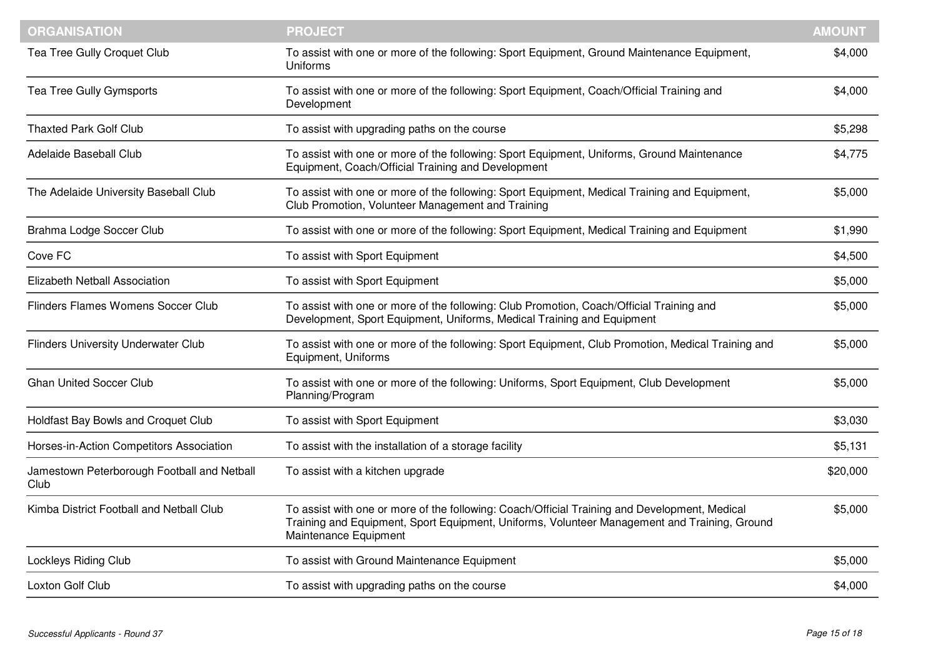| <b>ORGANISATION</b>                                 | <b>PROJECT</b>                                                                                                                                                                                                         | <b>AMOUNT</b> |
|-----------------------------------------------------|------------------------------------------------------------------------------------------------------------------------------------------------------------------------------------------------------------------------|---------------|
| Tea Tree Gully Croquet Club                         | To assist with one or more of the following: Sport Equipment, Ground Maintenance Equipment,<br>Uniforms                                                                                                                | \$4,000       |
| Tea Tree Gully Gymsports                            | To assist with one or more of the following: Sport Equipment, Coach/Official Training and<br>Development                                                                                                               | \$4,000       |
| <b>Thaxted Park Golf Club</b>                       | To assist with upgrading paths on the course                                                                                                                                                                           | \$5,298       |
| <b>Adelaide Baseball Club</b>                       | To assist with one or more of the following: Sport Equipment, Uniforms, Ground Maintenance<br>Equipment, Coach/Official Training and Development                                                                       | \$4,775       |
| The Adelaide University Baseball Club               | To assist with one or more of the following: Sport Equipment, Medical Training and Equipment,<br>Club Promotion, Volunteer Management and Training                                                                     | \$5,000       |
| Brahma Lodge Soccer Club                            | To assist with one or more of the following: Sport Equipment, Medical Training and Equipment                                                                                                                           | \$1,990       |
| Cove FC                                             | To assist with Sport Equipment                                                                                                                                                                                         | \$4,500       |
| Elizabeth Netball Association                       | To assist with Sport Equipment                                                                                                                                                                                         | \$5,000       |
| <b>Flinders Flames Womens Soccer Club</b>           | To assist with one or more of the following: Club Promotion, Coach/Official Training and<br>Development, Sport Equipment, Uniforms, Medical Training and Equipment                                                     | \$5,000       |
| <b>Flinders University Underwater Club</b>          | To assist with one or more of the following: Sport Equipment, Club Promotion, Medical Training and<br>Equipment, Uniforms                                                                                              | \$5,000       |
| <b>Ghan United Soccer Club</b>                      | To assist with one or more of the following: Uniforms, Sport Equipment, Club Development<br>Planning/Program                                                                                                           | \$5,000       |
| Holdfast Bay Bowls and Croquet Club                 | To assist with Sport Equipment                                                                                                                                                                                         | \$3,030       |
| Horses-in-Action Competitors Association            | To assist with the installation of a storage facility                                                                                                                                                                  | \$5,131       |
| Jamestown Peterborough Football and Netball<br>Club | To assist with a kitchen upgrade                                                                                                                                                                                       | \$20,000      |
| Kimba District Football and Netball Club            | To assist with one or more of the following: Coach/Official Training and Development, Medical<br>Training and Equipment, Sport Equipment, Uniforms, Volunteer Management and Training, Ground<br>Maintenance Equipment | \$5,000       |
| <b>Lockleys Riding Club</b>                         | To assist with Ground Maintenance Equipment                                                                                                                                                                            | \$5,000       |
| Loxton Golf Club                                    | To assist with upgrading paths on the course                                                                                                                                                                           | \$4,000       |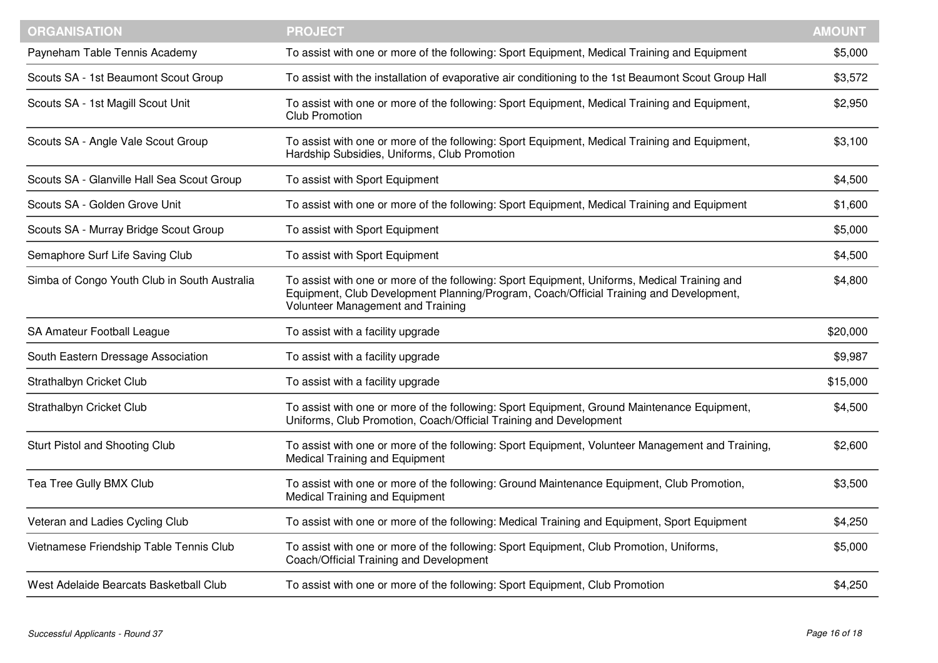| <b>ORGANISATION</b>                          | <b>PROJECT</b>                                                                                                                                                                                                              | <b>AMOUNT</b> |
|----------------------------------------------|-----------------------------------------------------------------------------------------------------------------------------------------------------------------------------------------------------------------------------|---------------|
| Payneham Table Tennis Academy                | To assist with one or more of the following: Sport Equipment, Medical Training and Equipment                                                                                                                                | \$5,000       |
| Scouts SA - 1st Beaumont Scout Group         | To assist with the installation of evaporative air conditioning to the 1st Beaumont Scout Group Hall                                                                                                                        | \$3,572       |
| Scouts SA - 1st Magill Scout Unit            | To assist with one or more of the following: Sport Equipment, Medical Training and Equipment,<br><b>Club Promotion</b>                                                                                                      | \$2,950       |
| Scouts SA - Angle Vale Scout Group           | To assist with one or more of the following: Sport Equipment, Medical Training and Equipment,<br>Hardship Subsidies, Uniforms, Club Promotion                                                                               | \$3,100       |
| Scouts SA - Glanville Hall Sea Scout Group   | To assist with Sport Equipment                                                                                                                                                                                              | \$4,500       |
| Scouts SA - Golden Grove Unit                | To assist with one or more of the following: Sport Equipment, Medical Training and Equipment                                                                                                                                | \$1,600       |
| Scouts SA - Murray Bridge Scout Group        | To assist with Sport Equipment                                                                                                                                                                                              | \$5,000       |
| Semaphore Surf Life Saving Club              | To assist with Sport Equipment                                                                                                                                                                                              | \$4,500       |
| Simba of Congo Youth Club in South Australia | To assist with one or more of the following: Sport Equipment, Uniforms, Medical Training and<br>Equipment, Club Development Planning/Program, Coach/Official Training and Development,<br>Volunteer Management and Training | \$4,800       |
| SA Amateur Football League                   | To assist with a facility upgrade                                                                                                                                                                                           | \$20,000      |
| South Eastern Dressage Association           | To assist with a facility upgrade                                                                                                                                                                                           | \$9,987       |
| Strathalbyn Cricket Club                     | To assist with a facility upgrade                                                                                                                                                                                           | \$15,000      |
| Strathalbyn Cricket Club                     | To assist with one or more of the following: Sport Equipment, Ground Maintenance Equipment,<br>Uniforms, Club Promotion, Coach/Official Training and Development                                                            | \$4,500       |
| Sturt Pistol and Shooting Club               | To assist with one or more of the following: Sport Equipment, Volunteer Management and Training,<br><b>Medical Training and Equipment</b>                                                                                   | \$2,600       |
| Tea Tree Gully BMX Club                      | To assist with one or more of the following: Ground Maintenance Equipment, Club Promotion,<br>Medical Training and Equipment                                                                                                | \$3,500       |
| Veteran and Ladies Cycling Club              | To assist with one or more of the following: Medical Training and Equipment, Sport Equipment                                                                                                                                | \$4,250       |
| Vietnamese Friendship Table Tennis Club      | To assist with one or more of the following: Sport Equipment, Club Promotion, Uniforms,<br>Coach/Official Training and Development                                                                                          | \$5,000       |
| West Adelaide Bearcats Basketball Club       | To assist with one or more of the following: Sport Equipment, Club Promotion                                                                                                                                                | \$4,250       |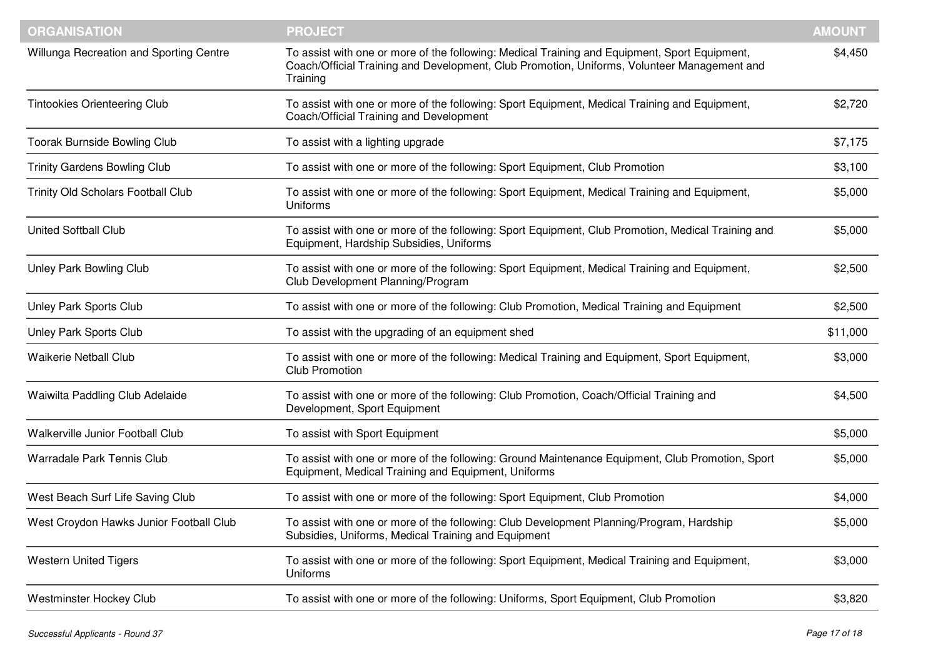| <b>ORGANISATION</b>                       | <b>PROJECT</b>                                                                                                                                                                                           | <b>AMOUNT</b> |
|-------------------------------------------|----------------------------------------------------------------------------------------------------------------------------------------------------------------------------------------------------------|---------------|
| Willunga Recreation and Sporting Centre   | To assist with one or more of the following: Medical Training and Equipment, Sport Equipment,<br>Coach/Official Training and Development, Club Promotion, Uniforms, Volunteer Management and<br>Training | \$4,450       |
| <b>Tintookies Orienteering Club</b>       | To assist with one or more of the following: Sport Equipment, Medical Training and Equipment,<br>Coach/Official Training and Development                                                                 | \$2,720       |
| <b>Toorak Burnside Bowling Club</b>       | To assist with a lighting upgrade                                                                                                                                                                        | \$7,175       |
| <b>Trinity Gardens Bowling Club</b>       | To assist with one or more of the following: Sport Equipment, Club Promotion                                                                                                                             | \$3,100       |
| <b>Trinity Old Scholars Football Club</b> | To assist with one or more of the following: Sport Equipment, Medical Training and Equipment,<br>Uniforms                                                                                                | \$5,000       |
| <b>United Softball Club</b>               | To assist with one or more of the following: Sport Equipment, Club Promotion, Medical Training and<br>Equipment, Hardship Subsidies, Uniforms                                                            | \$5,000       |
| Unley Park Bowling Club                   | To assist with one or more of the following: Sport Equipment, Medical Training and Equipment,<br>Club Development Planning/Program                                                                       | \$2,500       |
| Unley Park Sports Club                    | To assist with one or more of the following: Club Promotion, Medical Training and Equipment                                                                                                              | \$2,500       |
| Unley Park Sports Club                    | To assist with the upgrading of an equipment shed                                                                                                                                                        | \$11,000      |
| <b>Waikerie Netball Club</b>              | To assist with one or more of the following: Medical Training and Equipment, Sport Equipment,<br><b>Club Promotion</b>                                                                                   | \$3,000       |
| Waiwilta Paddling Club Adelaide           | To assist with one or more of the following: Club Promotion, Coach/Official Training and<br>Development, Sport Equipment                                                                                 | \$4,500       |
| Walkerville Junior Football Club          | To assist with Sport Equipment                                                                                                                                                                           | \$5,000       |
| <b>Warradale Park Tennis Club</b>         | To assist with one or more of the following: Ground Maintenance Equipment, Club Promotion, Sport<br>Equipment, Medical Training and Equipment, Uniforms                                                  | \$5,000       |
| West Beach Surf Life Saving Club          | To assist with one or more of the following: Sport Equipment, Club Promotion                                                                                                                             | \$4,000       |
| West Croydon Hawks Junior Football Club   | To assist with one or more of the following: Club Development Planning/Program, Hardship<br>Subsidies, Uniforms, Medical Training and Equipment                                                          | \$5,000       |
| <b>Western United Tigers</b>              | To assist with one or more of the following: Sport Equipment, Medical Training and Equipment,<br>Uniforms                                                                                                | \$3,000       |
| Westminster Hockey Club                   | To assist with one or more of the following: Uniforms, Sport Equipment, Club Promotion                                                                                                                   | \$3,820       |